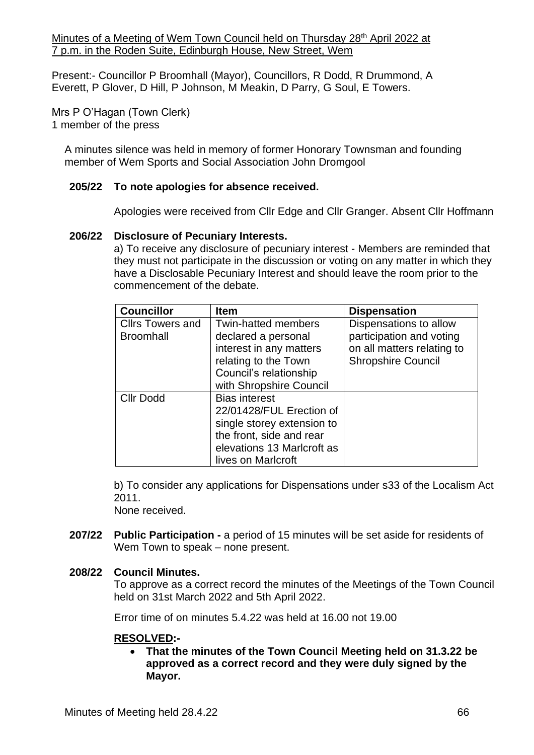Minutes of a Meeting of Wem Town Council held on Thursday 28<sup>th</sup> April 2022 at 7 p.m. in the Roden Suite, Edinburgh House, New Street, Wem

Present:- Councillor P Broomhall (Mayor), Councillors, R Dodd, R Drummond, A Everett, P Glover, D Hill, P Johnson, M Meakin, D Parry, G Soul, E Towers.

Mrs P O'Hagan (Town Clerk) 1 member of the press

A minutes silence was held in memory of former Honorary Townsman and founding member of Wem Sports and Social Association John Dromgool

#### **205/22 To note apologies for absence received.**

Apologies were received from Cllr Edge and Cllr Granger. Absent Cllr Hoffmann

#### **206/22 Disclosure of Pecuniary Interests.**

a) To receive any disclosure of pecuniary interest - Members are reminded that they must not participate in the discussion or voting on any matter in which they have a Disclosable Pecuniary Interest and should leave the room prior to the commencement of the debate.

| <b>Councillor</b>       | <b>Item</b>                | <b>Dispensation</b>        |
|-------------------------|----------------------------|----------------------------|
| <b>Cllrs Towers and</b> | <b>Twin-hatted members</b> | Dispensations to allow     |
| <b>Broomhall</b>        | declared a personal        | participation and voting   |
|                         | interest in any matters    | on all matters relating to |
|                         | relating to the Town       | <b>Shropshire Council</b>  |
|                         | Council's relationship     |                            |
|                         | with Shropshire Council    |                            |
| <b>Cllr Dodd</b>        | <b>Bias interest</b>       |                            |
|                         | 22/01428/FUL Erection of   |                            |
|                         | single storey extension to |                            |
|                         | the front, side and rear   |                            |
|                         | elevations 13 Marlcroft as |                            |
|                         | lives on Marlcroft         |                            |

b) To consider any applications for Dispensations under s33 of the Localism Act 2011.

None received.

**207/22 Public Participation -** a period of 15 minutes will be set aside for residents of Wem Town to speak – none present.

#### **208/22 Council Minutes.**

To approve as a correct record the minutes of the Meetings of the Town Council held on 31st March 2022 and 5th April 2022.

Error time of on minutes 5.4.22 was held at 16.00 not 19.00

#### **RESOLVED:-**

• **That the minutes of the Town Council Meeting held on 31.3.22 be approved as a correct record and they were duly signed by the Mayor.**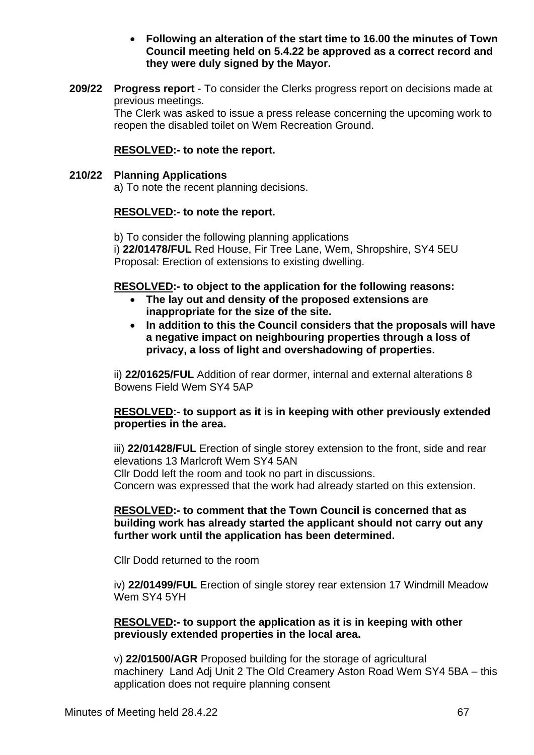#### • **Following an alteration of the start time to 16.00 the minutes of Town Council meeting held on 5.4.22 be approved as a correct record and they were duly signed by the Mayor.**

**209/22 Progress report** - To consider the Clerks progress report on decisions made at previous meetings.

The Clerk was asked to issue a press release concerning the upcoming work to reopen the disabled toilet on Wem Recreation Ground.

## **RESOLVED:- to note the report.**

#### **210/22 Planning Applications**

a) To note the recent planning decisions.

#### **RESOLVED:- to note the report.**

b) To consider the following planning applications

i) **22/01478/FUL** Red House, Fir Tree Lane, Wem, Shropshire, SY4 5EU Proposal: Erection of extensions to existing dwelling.

#### **RESOLVED:- to object to the application for the following reasons:**

- **The lay out and density of the proposed extensions are inappropriate for the size of the site.**
- **In addition to this the Council considers that the proposals will have a negative impact on neighbouring properties through a loss of privacy, a loss of light and overshadowing of properties.**

ii) **22/01625/FUL** Addition of rear dormer, internal and external alterations 8 Bowens Field Wem SY4 5AP

#### **RESOLVED:- to support as it is in keeping with other previously extended properties in the area.**

iii) **22/01428/FUL** Erection of single storey extension to the front, side and rear elevations 13 Marlcroft Wem SY4 5AN Cllr Dodd left the room and took no part in discussions. Concern was expressed that the work had already started on this extension.

#### **RESOLVED:- to comment that the Town Council is concerned that as building work has already started the applicant should not carry out any further work until the application has been determined.**

Cllr Dodd returned to the room

iv) **22/01499/FUL** Erection of single storey rear extension 17 Windmill Meadow Wem SY4 5YH

#### **RESOLVED:- to support the application as it is in keeping with other previously extended properties in the local area.**

v) **22/01500/AGR** Proposed building for the storage of agricultural machinery Land Adj Unit 2 The Old Creamery Aston Road Wem SY4 5BA – this application does not require planning consent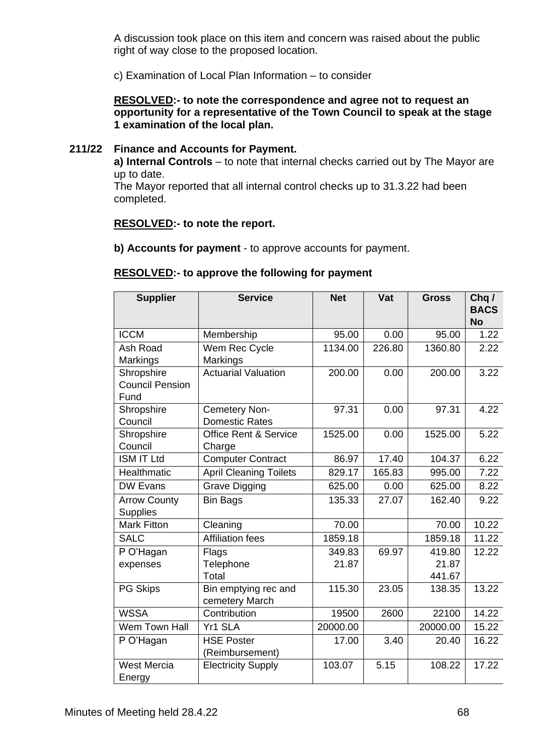A discussion took place on this item and concern was raised about the public right of way close to the proposed location.

c) Examination of Local Plan Information – to consider

#### **RESOLVED:- to note the correspondence and agree not to request an opportunity for a representative of the Town Council to speak at the stage 1 examination of the local plan.**

#### **211/22 Finance and Accounts for Payment.**

**a) Internal Controls** – to note that internal checks carried out by The Mayor are up to date.

The Mayor reported that all internal control checks up to 31.3.22 had been completed.

#### **RESOLVED:- to note the report.**

**b) Accounts for payment** - to approve accounts for payment.

| $\frac{1}{2}$ . The state of the state $\frac{1}{2}$ is the state of the state of the state of the state of the state of the state of the state of the state of the state of the state of the state of the state of the state of the |  |
|--------------------------------------------------------------------------------------------------------------------------------------------------------------------------------------------------------------------------------------|--|
|                                                                                                                                                                                                                                      |  |
|                                                                                                                                                                                                                                      |  |

**RESOLVED:- to approve the following for payment**

| <b>Supplier</b>        | <b>Service</b>                   | <b>Net</b> | Vat    | <b>Gross</b> | Chq /<br><b>BACS</b> |
|------------------------|----------------------------------|------------|--------|--------------|----------------------|
|                        |                                  |            |        |              | <b>No</b>            |
| <b>ICCM</b>            | Membership                       | 95.00      | 0.00   | 95.00        | 1.22                 |
| Ash Road               | Wem Rec Cycle                    | 1134.00    | 226.80 | 1360.80      | 2.22                 |
| Markings               | Markings                         |            |        |              |                      |
| Shropshire             | <b>Actuarial Valuation</b>       | 200.00     | 0.00   | 200.00       | 3.22                 |
| <b>Council Pension</b> |                                  |            |        |              |                      |
| Fund                   |                                  |            |        |              |                      |
| Shropshire             | Cemetery Non-                    | 97.31      | 0.00   | 97.31        | 4.22                 |
| Council                | <b>Domestic Rates</b>            |            |        |              |                      |
| Shropshire             | <b>Office Rent &amp; Service</b> | 1525.00    | 0.00   | 1525.00      | 5.22                 |
| Council                | Charge                           |            |        |              |                      |
| <b>ISM IT Ltd</b>      | <b>Computer Contract</b>         | 86.97      | 17.40  | 104.37       | 6.22                 |
| Healthmatic            | <b>April Cleaning Toilets</b>    | 829.17     | 165.83 | 995.00       | 7.22                 |
| <b>DW Evans</b>        | <b>Grave Digging</b>             | 625.00     | 0.00   | 625.00       | 8.22                 |
| <b>Arrow County</b>    | <b>Bin Bags</b>                  | 135.33     | 27.07  | 162.40       | 9.22                 |
| <b>Supplies</b>        |                                  |            |        |              |                      |
| <b>Mark Fitton</b>     | Cleaning                         | 70.00      |        | 70.00        | 10.22                |
| <b>SALC</b>            | <b>Affiliation fees</b>          | 1859.18    |        | 1859.18      | 11.22                |
| P O'Hagan              | Flags                            | 349.83     | 69.97  | 419.80       | 12.22                |
| expenses               | Telephone                        | 21.87      |        | 21.87        |                      |
|                        | Total                            |            |        | 441.67       |                      |
| PG Skips               | Bin emptying rec and             | 115.30     | 23.05  | 138.35       | 13.22                |
|                        | cemetery March                   |            |        |              |                      |
| <b>WSSA</b>            | Contribution                     | 19500      | 2600   | 22100        | 14.22                |
| Wem Town Hall          | Yr1 SLA                          | 20000.00   |        | 20000.00     | 15.22                |
| P O'Hagan              | <b>HSE Poster</b>                | 17.00      | 3.40   | 20.40        | 16.22                |
|                        | (Reimbursement)                  |            |        |              |                      |
| <b>West Mercia</b>     | <b>Electricity Supply</b>        | 103.07     | 5.15   | 108.22       | 17.22                |
| Energy                 |                                  |            |        |              |                      |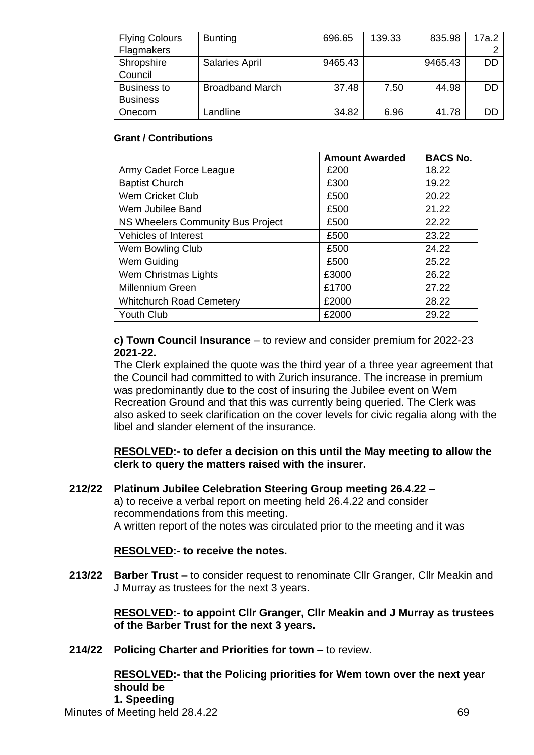| <b>Flying Colours</b> | <b>Bunting</b>         | 696.65  | 139.33 | 835.98  | 17a.2 |
|-----------------------|------------------------|---------|--------|---------|-------|
| Flagmakers            |                        |         |        |         |       |
| Shropshire            | <b>Salaries April</b>  | 9465.43 |        | 9465.43 | DD    |
| Council               |                        |         |        |         |       |
| <b>Business to</b>    | <b>Broadband March</b> | 37.48   | 7.50   | 44.98   | DD    |
| <b>Business</b>       |                        |         |        |         |       |
| Onecom                | _andline               | 34.82   | 6.96   | 41.78   | DD    |

#### **Grant / Contributions**

|                                   | <b>Amount Awarded</b> | <b>BACS No.</b> |
|-----------------------------------|-----------------------|-----------------|
| Army Cadet Force League           | £200                  | 18.22           |
| <b>Baptist Church</b>             | £300                  | 19.22           |
| <b>Wem Cricket Club</b>           | £500                  | 20.22           |
| Wem Jubilee Band                  | £500                  | 21.22           |
| NS Wheelers Community Bus Project | £500                  | 22.22           |
| <b>Vehicles of Interest</b>       | £500                  | 23.22           |
| Wem Bowling Club                  | £500                  | 24.22           |
| Wem Guiding                       | £500                  | 25.22           |
| Wem Christmas Lights              | £3000                 | 26.22           |
| Millennium Green                  | £1700                 | 27.22           |
| <b>Whitchurch Road Cemetery</b>   | £2000                 | 28.22           |
| Youth Club                        | £2000                 | 29.22           |

**c) Town Council Insurance** – to review and consider premium for 2022-23 **2021-22.**

The Clerk explained the quote was the third year of a three year agreement that the Council had committed to with Zurich insurance. The increase in premium was predominantly due to the cost of insuring the Jubilee event on Wem Recreation Ground and that this was currently being queried. The Clerk was also asked to seek clarification on the cover levels for civic regalia along with the libel and slander element of the insurance.

#### **RESOLVED:- to defer a decision on this until the May meeting to allow the clerk to query the matters raised with the insurer.**

**212/22 Platinum Jubilee Celebration Steering Group meeting 26.4.22** – a) to receive a verbal report on meeting held 26.4.22 and consider recommendations from this meeting. A written report of the notes was circulated prior to the meeting and it was

#### **RESOLVED:- to receive the notes.**

**213/22 Barber Trust –** to consider request to renominate Cllr Granger, Cllr Meakin and J Murray as trustees for the next 3 years.

> **RESOLVED:- to appoint Cllr Granger, Cllr Meakin and J Murray as trustees of the Barber Trust for the next 3 years.**

**214/22 Policing Charter and Priorities for town –** to review.

**RESOLVED:- that the Policing priorities for Wem town over the next year should be** 

**1. Speeding**

Minutes of Meeting held 28.4.22 69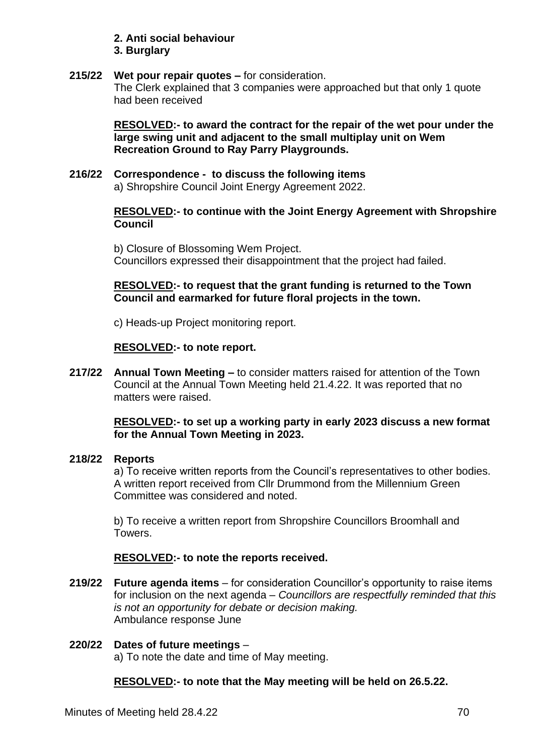# **2. Anti social behaviour**

**3. Burglary**

#### **215/22 Wet pour repair quotes –** for consideration. The Clerk explained that 3 companies were approached but that only 1 quote had been received

**RESOLVED:- to award the contract for the repair of the wet pour under the large swing unit and adjacent to the small multiplay unit on Wem Recreation Ground to Ray Parry Playgrounds.**

#### **216/22 Correspondence - to discuss the following items**  a) Shropshire Council Joint Energy Agreement 2022.

#### **RESOLVED:- to continue with the Joint Energy Agreement with Shropshire Council**

b) Closure of Blossoming Wem Project. Councillors expressed their disappointment that the project had failed.

## **RESOLVED:- to request that the grant funding is returned to the Town Council and earmarked for future floral projects in the town.**

c) Heads-up Project monitoring report.

#### **RESOLVED:- to note report.**

**217/22 Annual Town Meeting –** to consider matters raised for attention of the Town Council at the Annual Town Meeting held 21.4.22. It was reported that no matters were raised.

#### **RESOLVED:- to se**t **up a working party in early 2023 discuss a new format for the Annual Town Meeting in 2023.**

#### **218/22 Reports**

a) To receive written reports from the Council's representatives to other bodies. A written report received from Cllr Drummond from the Millennium Green Committee was considered and noted.

b) To receive a written report from Shropshire Councillors Broomhall and Towers.

# **RESOLVED:- to note the reports received.**

**219/22 Future agenda items** – for consideration Councillor's opportunity to raise items for inclusion on the next agenda – *Councillors are respectfully reminded that this is not an opportunity for debate or decision making.* Ambulance response June

# **220/22 Dates of future meetings** – a) To note the date and time of May meeting.

# **RESOLVED:- to note that the May meeting will be held on 26.5.22.**